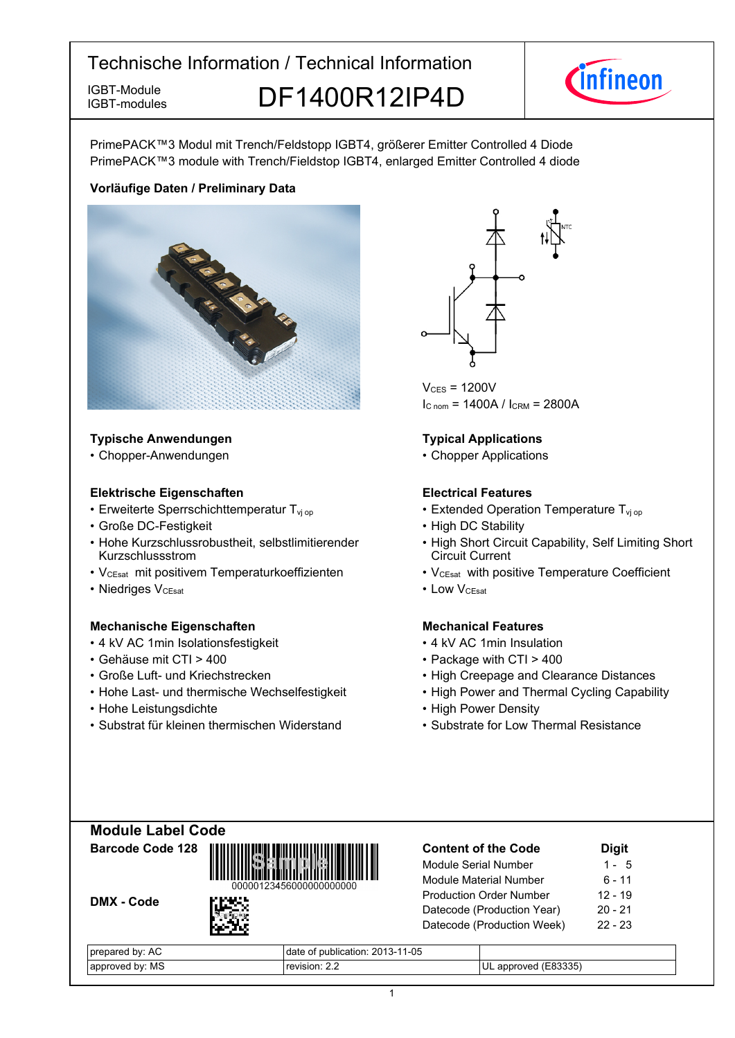IGBT-modules

IGBT-Module DF1400R12IP4D



PrimePACK™3 Modul mit Trench/Feldstopp IGBT4, größerer Emitter Controlled 4 Diode PrimePACK™3 module with Trench/Fieldstop IGBT4, enlarged Emitter Controlled 4 diode

### **Vorläufige-Daten-/-Preliminary-Data**



### **Typische-Anwendungen Typical-**

• Chopper-Anwendungen • Chopper-

### **Elektrische Eigenschaften Electrical-**

- Erweiterte Sperrschichttemperatur T<sub>vj</sub>
- Große-DC-Festigkeit High-
- Hohe Kurzschlussrobustheit, selbstlimitierender Kurzschlussstrom
- V<sub>CEsat</sub> mit positivem Temperaturkoeffizienten V<sub>CEsat</sub>
- Niedriges V<sub>CEsat</sub>

#### **Mechanische Eigenschaften Mechanical-**

- 4 kV AC 1 min Isolationsfestigkeit 4
- Gehäuse mit CTI >
- Große Luft- und Kriechstrecken High
- Hohe Last- und thermische Wechselfestigkeit High
- Hohe Leistungsdichte High-
- Substrat für kleinen thermischen Widerstand Substrate



 $V_{CFS}$  = 1200V  $I_{C \text{ nom}} = 1400A / I_{CRM} = 2800A$ 

### **Typical Applications**

• Chopper Applications

### **Electrical Features**

- op  **Extended Operation Temperature T**<sub>vj op</sub>
	- DC Stability
	- High Short Circuit Capability, Self Limiting Short Circuit Current
	- with positive Temperature Coefficient
- $V_{\text{CEsat}}$  Low  $V_{\text{CEsat}}$

### **Mechanical Features**

- kV-AC-1min-Insulation
- 400 Package with CTI > 400
	- Creepage and Clearance Distances
	- Power and Thermal Cycling Capability
	- Power Density
	- for Low Thermal Resistance

## **Module-Label-Code Barcode-Code-128**

DMX - Code



| <b>Content of the Code</b>     | <b>Digit</b> |
|--------------------------------|--------------|
| Module Serial Number           | 1 - 5        |
| <b>Module Material Number</b>  | 6 - 11       |
| <b>Production Order Number</b> | $12 - 19$    |
| Datecode (Production Year)     | $20 - 21$    |
| Datecode (Production Week)     | $22 - 23$    |
|                                |              |

| by: AC<br>pre<br>epareo | $1 - 05$<br>oublication: 2013-11<br>OL |                                     |
|-------------------------|----------------------------------------|-------------------------------------|
| МS<br>hv.<br>approved   |                                        | 33335<br>UL<br>nver<br>app'<br>IFX. |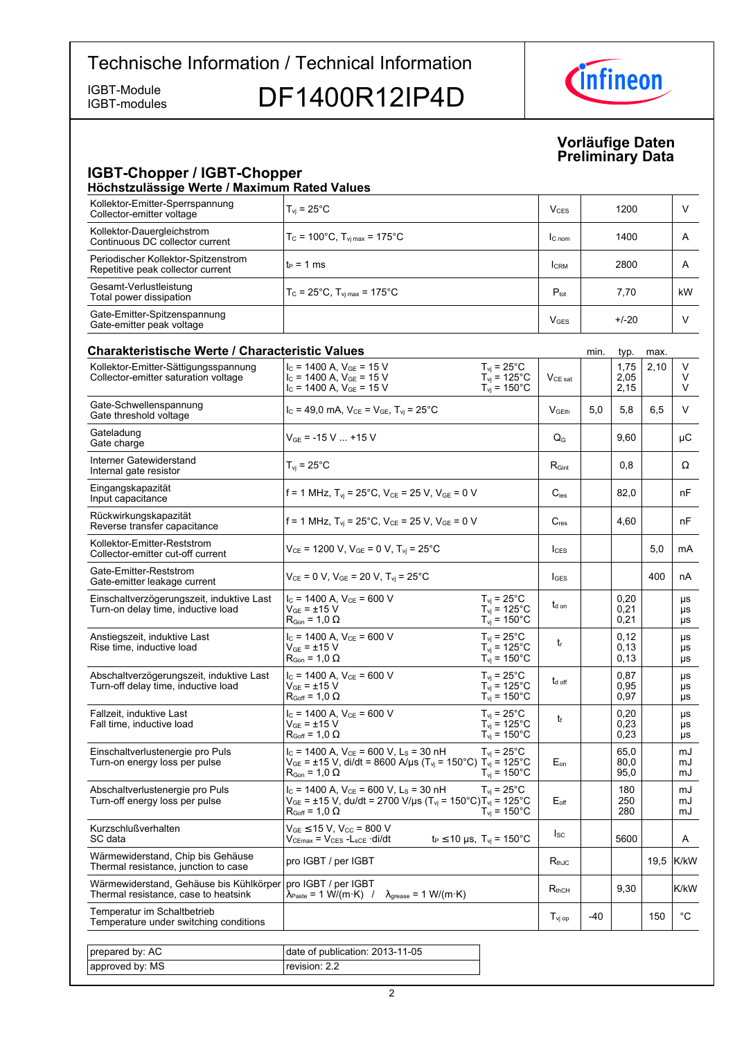IGBT-modules

IGBT-Module<br>IGBT-modules DF1400R12IP4D



### **Vorläufige-Daten Preliminary-Data**

# **IGBT-Chopper / IGBT-Chopper**

| Kollektor-Emitter-Sperrspannung<br>V<br>$T_{vi}$ = 25 $^{\circ}$ C<br>1200<br>$V_{CES}$<br>Collector-emitter voltage<br>Kollektor-Dauergleichstrom<br>$T_c$ = 100°C, $T_{\rm vi \, max}$ = 175°C<br>1400<br>A<br>I <sub>C</sub> nom<br>Continuous DC collector current<br>Periodischer Kollektor-Spitzenstrom<br>$t_P = 1$ ms<br>2800<br>A<br><b>I</b> CRM<br>Repetitive peak collector current<br>Gesamt-Verlustleistung<br>$P_{\text{tot}}$<br>$T_c = 25^{\circ}$ C, $T_{\text{vi max}} = 175^{\circ}$ C<br>7,70<br>kW<br>Total power dissipation<br>Gate-Emitter-Spitzenspannung<br>V<br>$+/-20$<br><b>V</b> GES<br>Gate-emitter peak voltage<br><b>Charakteristische Werte / Characteristic Values</b><br>min.<br>typ.<br>max.<br>V<br>$I_c$ = 1400 A, $V_{GE}$ = 15 V<br>$T_{\rm vj}$ = 25°C<br>1,75<br>2,10<br>Kollektor-Emitter-Sättigungsspannung<br>$T_{\text{vj}}$ = 125°C<br>2,05<br>V<br>Collector-emitter saturation voltage<br>$I_c$ = 1400 A, $V_{GE}$ = 15 V<br>$V_{CE\ sat}$<br>$T_{\text{vi}}$ = 150 $^{\circ}$ C<br>$I_c$ = 1400 A, $V_{GE}$ = 15 V<br>2,15<br>V<br>Gate-Schwellenspannung<br>V<br>5,0<br>5,8<br>6,5<br>$I_c = 49.0$ mA, $V_{CE} = V_{GE}$ , $T_{vi} = 25^{\circ}$ C<br>V <sub>GEth</sub><br>Gate threshold voltage<br>Gateladung<br>$V_{GF}$ = -15 V  +15 V<br>9,60<br>μC<br>$\mathsf{Q}_{\mathsf{G}}$<br>Gate charge<br>Interner Gatewiderstand<br>$T_{vi}$ = 25 $^{\circ}$ C<br>$R_{\mathsf{Gint}}$<br>0,8<br>Ω<br>Internal gate resistor<br>Eingangskapazität<br>f = 1 MHz, $T_{vi}$ = 25°C, $V_{CE}$ = 25 V, $V_{GE}$ = 0 V<br>82,0<br>$C_{\text{ies}}$<br>nF<br>Input capacitance<br>Rückwirkungskapazität<br>f = 1 MHz, $T_{vi}$ = 25°C, $V_{CE}$ = 25 V, $V_{GE}$ = 0 V<br>$C_{res}$<br>nF<br>4,60<br>Reverse transfer capacitance<br>Kollektor-Emitter-Reststrom<br>5,0<br>$V_{CE}$ = 1200 V, V <sub>GE</sub> = 0 V, T <sub>vi</sub> = 25 <sup>o</sup> C<br>mA<br>$I_{\text{CES}}$<br>Collector-emitter cut-off current<br>Gate-Emitter-Reststrom<br>400<br>$V_{CE} = 0 V$ , $V_{GE} = 20 V$ , $T_{vi} = 25^{\circ}C$<br>nA<br><b>I</b> GES<br>Gate-emitter leakage current<br>$I_c$ = 1400 A, $V_{CE}$ = 600 V<br>0,20<br>Einschaltverzögerungszeit, induktive Last<br>$T_{vi}$ = 25°C<br>μs<br>$t_{d}$ on<br>$T_{\text{vj}}$ = 125°C<br>$V_{GF}$ = ±15 V<br>0,21<br>Turn-on delay time, inductive load<br>μs<br>$T_{\text{vj}}$ = 150°C<br>$R_{\text{Gon}}$ = 1,0 $\Omega$<br>0,21<br>μs<br>$I_c$ = 1400 A, $V_{CE}$ = 600 V<br>$T_{vi}$ = 25°C<br>0,12<br>Anstiegszeit, induktive Last<br>μs<br>$t_{r}$<br>Rise time, inductive load<br>$V_{GF}$ = ±15 V<br>$T_{vi}$ = 125°C<br>0,13<br>μs<br>$T_{\text{vj}} = 150^{\circ} \text{C}$<br>$R_{\text{Gon}}$ = 1,0 $\Omega$<br>0,13<br>μs<br>$I_c$ = 1400 A, $V_{CE}$ = 600 V<br>$T_{vi}$ = 25°C<br>0,87<br>Abschaltverzögerungszeit, induktive Last<br>μs<br>$t_{d \text{ off}}$<br>$T_{vi} = 125^{\circ}$ C<br>$V_{GE} = \pm 15$ V<br>0,95<br>Turn-off delay time, inductive load<br>μs<br>$T_{vi}$ = 150 $^{\circ}$ C<br>$R_{Goff}$ = 1,0 $\Omega$<br>0,97<br>μs<br>Fallzeit, induktive Last<br>$I_c$ = 1400 A, $V_{CE}$ = 600 V<br>$T_{vi}$ = 25 $^{\circ}$ C<br>0,20<br>μs<br>t<br>$T_{\text{vj}}$ = 125°C<br>$V_{GF}$ = ±15 V<br>0,23<br>Fall time, inductive load<br>μs<br>0,23<br>$T_{\text{vj}}$ = 150 $^{\circ}$ C<br>$R_{Goff} = 1,0 \Omega$<br>μs<br>65,0<br>Einschaltverlustenergie pro Puls<br>$I_c$ = 1400 A, $V_{CE}$ = 600 V, L <sub>S</sub> = 30 nH<br>$T_{vi}$ = 25°C<br>mJ<br>$V_{GE}$ = ±15 V, di/dt = 8600 A/µs (T <sub>vj</sub> = 150°C) T <sub>vj</sub> = 125°C<br>Turn-on energy loss per pulse<br>$\mathsf{E}_{\mathsf{on}}$<br>80,0<br>mJ<br>$T_{\rm vj} = 150^{\circ}$ C<br>95,0<br>$R_{\text{Gon}}$ = 1,0 $\Omega$<br>mJ<br>$I_c$ = 1400 A, $V_{CE}$ = 600 V, L <sub>s</sub> = 30 nH<br>Abschaltverlustenergie pro Puls<br>$T_{vi}$ = 25°C<br>180<br>mJ<br>Turn-off energy loss per pulse<br>$V_{GE}$ = ±15 V, du/dt = 2700 V/µs (T <sub>vi</sub> = 150°C)T <sub>vi</sub> = 125°C<br>$E_{\text{off}}$<br>250<br>mJ<br>$T_{vi}$ = 150 $^{\circ}$ C<br>280<br>$R_{Goff}$ = 1,0 $\Omega$<br>mJ<br>Kurzschlußverhalten<br>$V_{GE}$ $\leq$ 15 V, V <sub>CC</sub> = 800 V<br>$I_{SC}$<br>$V_{CEmax} = V_{CES} - L_{sCE} \cdot di/dt$<br>$t_P \le 10$ µs, $T_{vi} = 150^{\circ}$ C<br>5600<br>SC data<br>A<br>Wärmewiderstand, Chip bis Gehäuse<br>19.5<br>pro IGBT / per IGBT<br>$R_{thJC}$<br>Thermal resistance, junction to case<br>Wärmewiderstand, Gehäuse bis Kühlkörper<br>pro IGBT / per IGBT<br>9,30<br>$R_{thCH}$ | Höchstzulässige Werte / Maximum Rated Values |                                                                                                              |  |  |      |
|-----------------------------------------------------------------------------------------------------------------------------------------------------------------------------------------------------------------------------------------------------------------------------------------------------------------------------------------------------------------------------------------------------------------------------------------------------------------------------------------------------------------------------------------------------------------------------------------------------------------------------------------------------------------------------------------------------------------------------------------------------------------------------------------------------------------------------------------------------------------------------------------------------------------------------------------------------------------------------------------------------------------------------------------------------------------------------------------------------------------------------------------------------------------------------------------------------------------------------------------------------------------------------------------------------------------------------------------------------------------------------------------------------------------------------------------------------------------------------------------------------------------------------------------------------------------------------------------------------------------------------------------------------------------------------------------------------------------------------------------------------------------------------------------------------------------------------------------------------------------------------------------------------------------------------------------------------------------------------------------------------------------------------------------------------------------------------------------------------------------------------------------------------------------------------------------------------------------------------------------------------------------------------------------------------------------------------------------------------------------------------------------------------------------------------------------------------------------------------------------------------------------------------------------------------------------------------------------------------------------------------------------------------------------------------------------------------------------------------------------------------------------------------------------------------------------------------------------------------------------------------------------------------------------------------------------------------------------------------------------------------------------------------------------------------------------------------------------------------------------------------------------------------------------------------------------------------------------------------------------------------------------------------------------------------------------------------------------------------------------------------------------------------------------------------------------------------------------------------------------------------------------------------------------------------------------------------------------------------------------------------------------------------------------------------------------------------------------------------------------------------------------------------------------------------------------------------------------------------------------------------------------------------------------------------------------------------------------------------------------------------------------------------------------------------------------------------------------------------------------------------------------------------------------------------------------------------------------------------------------------------------------------------------------------------------------------------------------------------------------------------------------------------------------------------------------------------------------------------------------------------------------------------------------------|----------------------------------------------|--------------------------------------------------------------------------------------------------------------|--|--|------|
|                                                                                                                                                                                                                                                                                                                                                                                                                                                                                                                                                                                                                                                                                                                                                                                                                                                                                                                                                                                                                                                                                                                                                                                                                                                                                                                                                                                                                                                                                                                                                                                                                                                                                                                                                                                                                                                                                                                                                                                                                                                                                                                                                                                                                                                                                                                                                                                                                                                                                                                                                                                                                                                                                                                                                                                                                                                                                                                                                                                                                                                                                                                                                                                                                                                                                                                                                                                                                                                                                                                                                                                                                                                                                                                                                                                                                                                                                                                                                                                                                                                                                                                                                                                                                                                                                                                                                                                                                                                                                                                                               |                                              |                                                                                                              |  |  |      |
|                                                                                                                                                                                                                                                                                                                                                                                                                                                                                                                                                                                                                                                                                                                                                                                                                                                                                                                                                                                                                                                                                                                                                                                                                                                                                                                                                                                                                                                                                                                                                                                                                                                                                                                                                                                                                                                                                                                                                                                                                                                                                                                                                                                                                                                                                                                                                                                                                                                                                                                                                                                                                                                                                                                                                                                                                                                                                                                                                                                                                                                                                                                                                                                                                                                                                                                                                                                                                                                                                                                                                                                                                                                                                                                                                                                                                                                                                                                                                                                                                                                                                                                                                                                                                                                                                                                                                                                                                                                                                                                                               |                                              |                                                                                                              |  |  |      |
|                                                                                                                                                                                                                                                                                                                                                                                                                                                                                                                                                                                                                                                                                                                                                                                                                                                                                                                                                                                                                                                                                                                                                                                                                                                                                                                                                                                                                                                                                                                                                                                                                                                                                                                                                                                                                                                                                                                                                                                                                                                                                                                                                                                                                                                                                                                                                                                                                                                                                                                                                                                                                                                                                                                                                                                                                                                                                                                                                                                                                                                                                                                                                                                                                                                                                                                                                                                                                                                                                                                                                                                                                                                                                                                                                                                                                                                                                                                                                                                                                                                                                                                                                                                                                                                                                                                                                                                                                                                                                                                                               |                                              |                                                                                                              |  |  |      |
|                                                                                                                                                                                                                                                                                                                                                                                                                                                                                                                                                                                                                                                                                                                                                                                                                                                                                                                                                                                                                                                                                                                                                                                                                                                                                                                                                                                                                                                                                                                                                                                                                                                                                                                                                                                                                                                                                                                                                                                                                                                                                                                                                                                                                                                                                                                                                                                                                                                                                                                                                                                                                                                                                                                                                                                                                                                                                                                                                                                                                                                                                                                                                                                                                                                                                                                                                                                                                                                                                                                                                                                                                                                                                                                                                                                                                                                                                                                                                                                                                                                                                                                                                                                                                                                                                                                                                                                                                                                                                                                                               |                                              |                                                                                                              |  |  |      |
|                                                                                                                                                                                                                                                                                                                                                                                                                                                                                                                                                                                                                                                                                                                                                                                                                                                                                                                                                                                                                                                                                                                                                                                                                                                                                                                                                                                                                                                                                                                                                                                                                                                                                                                                                                                                                                                                                                                                                                                                                                                                                                                                                                                                                                                                                                                                                                                                                                                                                                                                                                                                                                                                                                                                                                                                                                                                                                                                                                                                                                                                                                                                                                                                                                                                                                                                                                                                                                                                                                                                                                                                                                                                                                                                                                                                                                                                                                                                                                                                                                                                                                                                                                                                                                                                                                                                                                                                                                                                                                                                               |                                              |                                                                                                              |  |  |      |
|                                                                                                                                                                                                                                                                                                                                                                                                                                                                                                                                                                                                                                                                                                                                                                                                                                                                                                                                                                                                                                                                                                                                                                                                                                                                                                                                                                                                                                                                                                                                                                                                                                                                                                                                                                                                                                                                                                                                                                                                                                                                                                                                                                                                                                                                                                                                                                                                                                                                                                                                                                                                                                                                                                                                                                                                                                                                                                                                                                                                                                                                                                                                                                                                                                                                                                                                                                                                                                                                                                                                                                                                                                                                                                                                                                                                                                                                                                                                                                                                                                                                                                                                                                                                                                                                                                                                                                                                                                                                                                                                               |                                              |                                                                                                              |  |  |      |
|                                                                                                                                                                                                                                                                                                                                                                                                                                                                                                                                                                                                                                                                                                                                                                                                                                                                                                                                                                                                                                                                                                                                                                                                                                                                                                                                                                                                                                                                                                                                                                                                                                                                                                                                                                                                                                                                                                                                                                                                                                                                                                                                                                                                                                                                                                                                                                                                                                                                                                                                                                                                                                                                                                                                                                                                                                                                                                                                                                                                                                                                                                                                                                                                                                                                                                                                                                                                                                                                                                                                                                                                                                                                                                                                                                                                                                                                                                                                                                                                                                                                                                                                                                                                                                                                                                                                                                                                                                                                                                                                               |                                              |                                                                                                              |  |  |      |
|                                                                                                                                                                                                                                                                                                                                                                                                                                                                                                                                                                                                                                                                                                                                                                                                                                                                                                                                                                                                                                                                                                                                                                                                                                                                                                                                                                                                                                                                                                                                                                                                                                                                                                                                                                                                                                                                                                                                                                                                                                                                                                                                                                                                                                                                                                                                                                                                                                                                                                                                                                                                                                                                                                                                                                                                                                                                                                                                                                                                                                                                                                                                                                                                                                                                                                                                                                                                                                                                                                                                                                                                                                                                                                                                                                                                                                                                                                                                                                                                                                                                                                                                                                                                                                                                                                                                                                                                                                                                                                                                               |                                              |                                                                                                              |  |  |      |
|                                                                                                                                                                                                                                                                                                                                                                                                                                                                                                                                                                                                                                                                                                                                                                                                                                                                                                                                                                                                                                                                                                                                                                                                                                                                                                                                                                                                                                                                                                                                                                                                                                                                                                                                                                                                                                                                                                                                                                                                                                                                                                                                                                                                                                                                                                                                                                                                                                                                                                                                                                                                                                                                                                                                                                                                                                                                                                                                                                                                                                                                                                                                                                                                                                                                                                                                                                                                                                                                                                                                                                                                                                                                                                                                                                                                                                                                                                                                                                                                                                                                                                                                                                                                                                                                                                                                                                                                                                                                                                                                               |                                              |                                                                                                              |  |  |      |
|                                                                                                                                                                                                                                                                                                                                                                                                                                                                                                                                                                                                                                                                                                                                                                                                                                                                                                                                                                                                                                                                                                                                                                                                                                                                                                                                                                                                                                                                                                                                                                                                                                                                                                                                                                                                                                                                                                                                                                                                                                                                                                                                                                                                                                                                                                                                                                                                                                                                                                                                                                                                                                                                                                                                                                                                                                                                                                                                                                                                                                                                                                                                                                                                                                                                                                                                                                                                                                                                                                                                                                                                                                                                                                                                                                                                                                                                                                                                                                                                                                                                                                                                                                                                                                                                                                                                                                                                                                                                                                                                               |                                              |                                                                                                              |  |  |      |
|                                                                                                                                                                                                                                                                                                                                                                                                                                                                                                                                                                                                                                                                                                                                                                                                                                                                                                                                                                                                                                                                                                                                                                                                                                                                                                                                                                                                                                                                                                                                                                                                                                                                                                                                                                                                                                                                                                                                                                                                                                                                                                                                                                                                                                                                                                                                                                                                                                                                                                                                                                                                                                                                                                                                                                                                                                                                                                                                                                                                                                                                                                                                                                                                                                                                                                                                                                                                                                                                                                                                                                                                                                                                                                                                                                                                                                                                                                                                                                                                                                                                                                                                                                                                                                                                                                                                                                                                                                                                                                                                               |                                              |                                                                                                              |  |  |      |
|                                                                                                                                                                                                                                                                                                                                                                                                                                                                                                                                                                                                                                                                                                                                                                                                                                                                                                                                                                                                                                                                                                                                                                                                                                                                                                                                                                                                                                                                                                                                                                                                                                                                                                                                                                                                                                                                                                                                                                                                                                                                                                                                                                                                                                                                                                                                                                                                                                                                                                                                                                                                                                                                                                                                                                                                                                                                                                                                                                                                                                                                                                                                                                                                                                                                                                                                                                                                                                                                                                                                                                                                                                                                                                                                                                                                                                                                                                                                                                                                                                                                                                                                                                                                                                                                                                                                                                                                                                                                                                                                               |                                              |                                                                                                              |  |  |      |
|                                                                                                                                                                                                                                                                                                                                                                                                                                                                                                                                                                                                                                                                                                                                                                                                                                                                                                                                                                                                                                                                                                                                                                                                                                                                                                                                                                                                                                                                                                                                                                                                                                                                                                                                                                                                                                                                                                                                                                                                                                                                                                                                                                                                                                                                                                                                                                                                                                                                                                                                                                                                                                                                                                                                                                                                                                                                                                                                                                                                                                                                                                                                                                                                                                                                                                                                                                                                                                                                                                                                                                                                                                                                                                                                                                                                                                                                                                                                                                                                                                                                                                                                                                                                                                                                                                                                                                                                                                                                                                                                               |                                              |                                                                                                              |  |  |      |
|                                                                                                                                                                                                                                                                                                                                                                                                                                                                                                                                                                                                                                                                                                                                                                                                                                                                                                                                                                                                                                                                                                                                                                                                                                                                                                                                                                                                                                                                                                                                                                                                                                                                                                                                                                                                                                                                                                                                                                                                                                                                                                                                                                                                                                                                                                                                                                                                                                                                                                                                                                                                                                                                                                                                                                                                                                                                                                                                                                                                                                                                                                                                                                                                                                                                                                                                                                                                                                                                                                                                                                                                                                                                                                                                                                                                                                                                                                                                                                                                                                                                                                                                                                                                                                                                                                                                                                                                                                                                                                                                               |                                              |                                                                                                              |  |  |      |
|                                                                                                                                                                                                                                                                                                                                                                                                                                                                                                                                                                                                                                                                                                                                                                                                                                                                                                                                                                                                                                                                                                                                                                                                                                                                                                                                                                                                                                                                                                                                                                                                                                                                                                                                                                                                                                                                                                                                                                                                                                                                                                                                                                                                                                                                                                                                                                                                                                                                                                                                                                                                                                                                                                                                                                                                                                                                                                                                                                                                                                                                                                                                                                                                                                                                                                                                                                                                                                                                                                                                                                                                                                                                                                                                                                                                                                                                                                                                                                                                                                                                                                                                                                                                                                                                                                                                                                                                                                                                                                                                               |                                              |                                                                                                              |  |  |      |
|                                                                                                                                                                                                                                                                                                                                                                                                                                                                                                                                                                                                                                                                                                                                                                                                                                                                                                                                                                                                                                                                                                                                                                                                                                                                                                                                                                                                                                                                                                                                                                                                                                                                                                                                                                                                                                                                                                                                                                                                                                                                                                                                                                                                                                                                                                                                                                                                                                                                                                                                                                                                                                                                                                                                                                                                                                                                                                                                                                                                                                                                                                                                                                                                                                                                                                                                                                                                                                                                                                                                                                                                                                                                                                                                                                                                                                                                                                                                                                                                                                                                                                                                                                                                                                                                                                                                                                                                                                                                                                                                               |                                              |                                                                                                              |  |  |      |
|                                                                                                                                                                                                                                                                                                                                                                                                                                                                                                                                                                                                                                                                                                                                                                                                                                                                                                                                                                                                                                                                                                                                                                                                                                                                                                                                                                                                                                                                                                                                                                                                                                                                                                                                                                                                                                                                                                                                                                                                                                                                                                                                                                                                                                                                                                                                                                                                                                                                                                                                                                                                                                                                                                                                                                                                                                                                                                                                                                                                                                                                                                                                                                                                                                                                                                                                                                                                                                                                                                                                                                                                                                                                                                                                                                                                                                                                                                                                                                                                                                                                                                                                                                                                                                                                                                                                                                                                                                                                                                                                               |                                              |                                                                                                              |  |  |      |
|                                                                                                                                                                                                                                                                                                                                                                                                                                                                                                                                                                                                                                                                                                                                                                                                                                                                                                                                                                                                                                                                                                                                                                                                                                                                                                                                                                                                                                                                                                                                                                                                                                                                                                                                                                                                                                                                                                                                                                                                                                                                                                                                                                                                                                                                                                                                                                                                                                                                                                                                                                                                                                                                                                                                                                                                                                                                                                                                                                                                                                                                                                                                                                                                                                                                                                                                                                                                                                                                                                                                                                                                                                                                                                                                                                                                                                                                                                                                                                                                                                                                                                                                                                                                                                                                                                                                                                                                                                                                                                                                               |                                              |                                                                                                              |  |  |      |
|                                                                                                                                                                                                                                                                                                                                                                                                                                                                                                                                                                                                                                                                                                                                                                                                                                                                                                                                                                                                                                                                                                                                                                                                                                                                                                                                                                                                                                                                                                                                                                                                                                                                                                                                                                                                                                                                                                                                                                                                                                                                                                                                                                                                                                                                                                                                                                                                                                                                                                                                                                                                                                                                                                                                                                                                                                                                                                                                                                                                                                                                                                                                                                                                                                                                                                                                                                                                                                                                                                                                                                                                                                                                                                                                                                                                                                                                                                                                                                                                                                                                                                                                                                                                                                                                                                                                                                                                                                                                                                                                               |                                              |                                                                                                              |  |  |      |
|                                                                                                                                                                                                                                                                                                                                                                                                                                                                                                                                                                                                                                                                                                                                                                                                                                                                                                                                                                                                                                                                                                                                                                                                                                                                                                                                                                                                                                                                                                                                                                                                                                                                                                                                                                                                                                                                                                                                                                                                                                                                                                                                                                                                                                                                                                                                                                                                                                                                                                                                                                                                                                                                                                                                                                                                                                                                                                                                                                                                                                                                                                                                                                                                                                                                                                                                                                                                                                                                                                                                                                                                                                                                                                                                                                                                                                                                                                                                                                                                                                                                                                                                                                                                                                                                                                                                                                                                                                                                                                                                               |                                              |                                                                                                              |  |  |      |
|                                                                                                                                                                                                                                                                                                                                                                                                                                                                                                                                                                                                                                                                                                                                                                                                                                                                                                                                                                                                                                                                                                                                                                                                                                                                                                                                                                                                                                                                                                                                                                                                                                                                                                                                                                                                                                                                                                                                                                                                                                                                                                                                                                                                                                                                                                                                                                                                                                                                                                                                                                                                                                                                                                                                                                                                                                                                                                                                                                                                                                                                                                                                                                                                                                                                                                                                                                                                                                                                                                                                                                                                                                                                                                                                                                                                                                                                                                                                                                                                                                                                                                                                                                                                                                                                                                                                                                                                                                                                                                                                               |                                              |                                                                                                              |  |  |      |
|                                                                                                                                                                                                                                                                                                                                                                                                                                                                                                                                                                                                                                                                                                                                                                                                                                                                                                                                                                                                                                                                                                                                                                                                                                                                                                                                                                                                                                                                                                                                                                                                                                                                                                                                                                                                                                                                                                                                                                                                                                                                                                                                                                                                                                                                                                                                                                                                                                                                                                                                                                                                                                                                                                                                                                                                                                                                                                                                                                                                                                                                                                                                                                                                                                                                                                                                                                                                                                                                                                                                                                                                                                                                                                                                                                                                                                                                                                                                                                                                                                                                                                                                                                                                                                                                                                                                                                                                                                                                                                                                               |                                              |                                                                                                              |  |  |      |
|                                                                                                                                                                                                                                                                                                                                                                                                                                                                                                                                                                                                                                                                                                                                                                                                                                                                                                                                                                                                                                                                                                                                                                                                                                                                                                                                                                                                                                                                                                                                                                                                                                                                                                                                                                                                                                                                                                                                                                                                                                                                                                                                                                                                                                                                                                                                                                                                                                                                                                                                                                                                                                                                                                                                                                                                                                                                                                                                                                                                                                                                                                                                                                                                                                                                                                                                                                                                                                                                                                                                                                                                                                                                                                                                                                                                                                                                                                                                                                                                                                                                                                                                                                                                                                                                                                                                                                                                                                                                                                                                               |                                              |                                                                                                              |  |  | K/kW |
|                                                                                                                                                                                                                                                                                                                                                                                                                                                                                                                                                                                                                                                                                                                                                                                                                                                                                                                                                                                                                                                                                                                                                                                                                                                                                                                                                                                                                                                                                                                                                                                                                                                                                                                                                                                                                                                                                                                                                                                                                                                                                                                                                                                                                                                                                                                                                                                                                                                                                                                                                                                                                                                                                                                                                                                                                                                                                                                                                                                                                                                                                                                                                                                                                                                                                                                                                                                                                                                                                                                                                                                                                                                                                                                                                                                                                                                                                                                                                                                                                                                                                                                                                                                                                                                                                                                                                                                                                                                                                                                                               | Thermal resistance, case to heatsink         | $\lambda_{\text{Paste}} = 1 \text{ W/(m} \cdot \text{K)}$ /<br>$\lambda_{\text{grease}} = 1 \text{ W/(m·K)}$ |  |  | K/kW |
| Temperatur im Schaltbetrieb<br>°C<br>-40<br>150<br>$T_{\text{vj op}}$<br>Temperature under switching conditions                                                                                                                                                                                                                                                                                                                                                                                                                                                                                                                                                                                                                                                                                                                                                                                                                                                                                                                                                                                                                                                                                                                                                                                                                                                                                                                                                                                                                                                                                                                                                                                                                                                                                                                                                                                                                                                                                                                                                                                                                                                                                                                                                                                                                                                                                                                                                                                                                                                                                                                                                                                                                                                                                                                                                                                                                                                                                                                                                                                                                                                                                                                                                                                                                                                                                                                                                                                                                                                                                                                                                                                                                                                                                                                                                                                                                                                                                                                                                                                                                                                                                                                                                                                                                                                                                                                                                                                                                               |                                              |                                                                                                              |  |  |      |

| prepared by: AC | date of publication: 2013-11-05 |
|-----------------|---------------------------------|
| approved by: MS | revision: 2.2                   |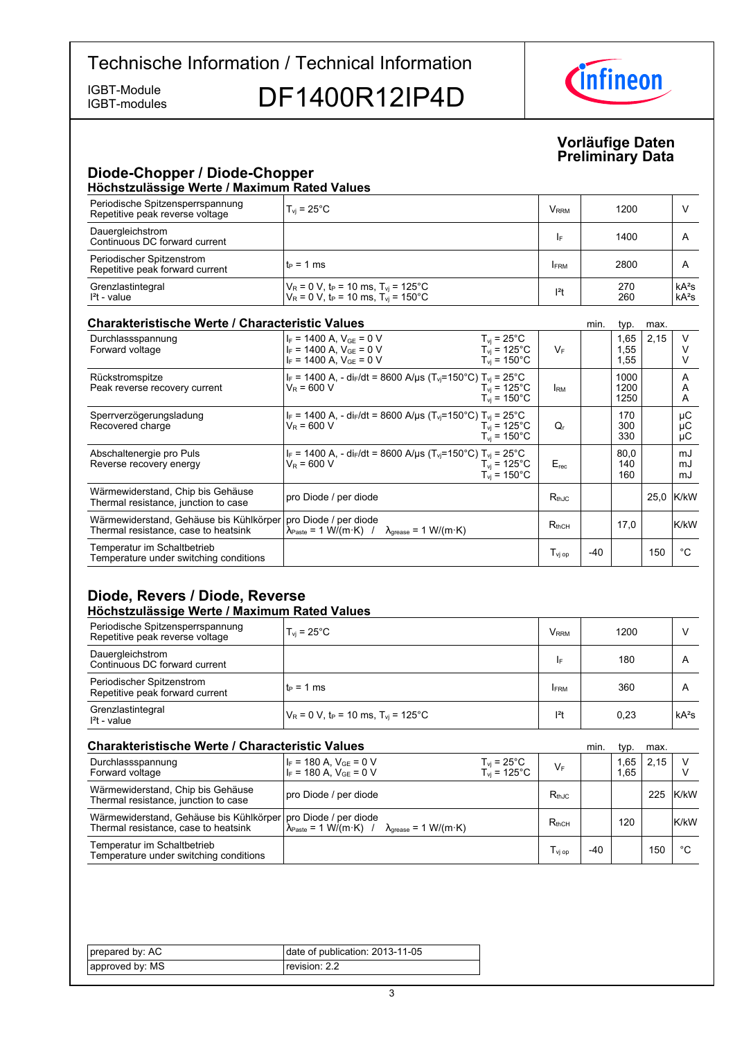IGBT-modules

IGBT-Module<br>IGBT-modules DF1400R12IP4D



### **Vorläufige-Daten Preliminary-Data**

# **Diode-Chopper / Diode-Chopper**

| Höchstzulässige Werte / Maximum Rated Values                        |                                                                                                                       |               |            |                    |  |
|---------------------------------------------------------------------|-----------------------------------------------------------------------------------------------------------------------|---------------|------------|--------------------|--|
| Periodische Spitzensperrspannung<br>Repetitive peak reverse voltage | $T_{\rm vi}$ = 25°C                                                                                                   | $V_{\rm RRM}$ | 1200       |                    |  |
| Dauergleichstrom<br>Continuous DC forward current                   |                                                                                                                       | I۴            | 1400       | $\overline{A}$     |  |
| Periodischer Spitzenstrom<br>Repetitive peak forward current        | $t_P = 1$ ms                                                                                                          | <b>FRM</b>    | 2800       | $\mathsf{A}$       |  |
| Grenzlastintegral<br>$I2t - value$                                  | $V_R = 0 V$ , t <sub>p</sub> = 10 ms, T <sub>vi</sub> = 125°C<br>$V_R = 0$ V, $t_P = 10$ ms, $T_{vi} = 150^{\circ}$ C | $ ^{2}t$      | 270<br>260 | $kA^2s$<br>$kA^2s$ |  |

### **Charakteristische Werte / Characteristic**

| <b>Charakteristische Werte / Characteristic Values</b>                          |                                                                                                                       |                                                                                      |                       | min.  | typ.                 | max. |                |
|---------------------------------------------------------------------------------|-----------------------------------------------------------------------------------------------------------------------|--------------------------------------------------------------------------------------|-----------------------|-------|----------------------|------|----------------|
| Durchlassspannung<br>Forward voltage                                            | $I_F = 1400$ A, $V_{GE} = 0$ V<br>$I_F = 1400$ A, $V_{GF} = 0$ V<br>$I_F = 1400$ A. $V_{GE} = 0$ V                    | $T_{vi}$ = 25 $^{\circ}$ C<br>$T_{vi}$ = 125°C<br>$T_{\text{vi}}$ = 150 $^{\circ}$ C | $V_F$                 |       | 1,65<br>1,55<br>1,55 | 2,15 | V              |
| Rückstromspitze<br>Peak reverse recovery current                                | $I_F$ = 1400 A, - di <sub>F</sub> /dt = 8600 A/µs (T <sub>vi</sub> =150°C) T <sub>vi</sub> = 25°C<br>$V_R = 600 V$    | $T_{\rm vi}$ = 125°C<br>$T_{\rm vi}$ = 150 $^{\circ}$ C                              | <b>RM</b>             |       | 1000<br>1200<br>1250 |      | A<br>A<br>A    |
| Sperrverzögerungsladung<br>Recovered charge                                     | $I_F$ = 1400 A, - di $_F$ /dt = 8600 A/µs (T <sub>vi</sub> =150°C) T <sub>vi</sub> = 25°C<br>$V_R = 600 V$            | $T_{vi}$ = 125°C<br>$T_{\rm vi}$ = 150 $^{\circ}$ C                                  | Q,                    |       | 170<br>300<br>330    |      | μC<br>μC<br>μC |
| Abschaltenergie pro Puls<br>Reverse recovery energy                             | $I_F$ = 1400 A, - di <sub>F</sub> /dt = 8600 A/µs (T <sub>vj</sub> =150°C) T <sub>vi</sub> = 25°C<br>$V_R = 600 V$    | $T_{\rm vi}$ = 125°C<br>$T_{\rm vi}$ = 150 $^{\circ}$ C                              | $E_{rec}$             |       | 80.0<br>140<br>160   |      | mJ<br>mJ<br>mJ |
| Wärmewiderstand, Chip bis Gehäuse<br>Thermal resistance, junction to case       | pro Diode / per diode                                                                                                 |                                                                                      | $R_{thJC}$            |       |                      |      | 25.0 K/kW      |
| Wärmewiderstand, Gehäuse bis Kühlkörper<br>Thermal resistance, case to heatsink | pro Diode / per diode<br>$\lambda_{\text{Paste}} = 1 \text{ W/(m·K)}$ / $\lambda_{\text{grease}} = 1 \text{ W/(m·K)}$ |                                                                                      | $R_{thCH}$            |       | 17.0                 |      | K/kW           |
| Temperatur im Schaltbetrieb<br>Temperature under switching conditions           |                                                                                                                       |                                                                                      | $T_{\mathsf{vi\ op}}$ | $-40$ |                      | 150  | °€             |

### **Diode, Revers / Diode, Reverse Höchstzulässige-Werte-/-Maximum-Rated-Values**

| Periodische Spitzensperrspannung<br>Repetitive peak reverse voltage | $T_{\rm vi}$ = 25°C                                          | V <sub>rrm</sub> | 1200 | ν       |
|---------------------------------------------------------------------|--------------------------------------------------------------|------------------|------|---------|
| Dauergleichstrom<br>Continuous DC forward current                   |                                                              | IF               | 180  | A       |
| Periodischer Spitzenstrom<br>Repetitive peak forward current        | lt∍ = 1 ms                                                   | <b>IFRM</b>      | 360  | A       |
| Grenzlastintegral<br>$I2t - value$                                  | $V_R$ = 0 V, t <sub>P</sub> = 10 ms, T <sub>vi</sub> = 125°C | $ ^{2}t$         | 0,23 | $kA^2s$ |

| <b>Charakteristische Werte / Characteristic Values</b>                                                  |                                                                                                                        |                                                       |                    | min. | typ.         | max. |          |
|---------------------------------------------------------------------------------------------------------|------------------------------------------------------------------------------------------------------------------------|-------------------------------------------------------|--------------------|------|--------------|------|----------|
| Durchlassspannung<br>Forward voltage                                                                    | $\begin{cases} I_F = 180 \text{ A}, V_{GE} = 0 \text{ V} \\ I_F = 180 \text{ A}, V_{GE} = 0 \text{ V} \end{cases}$     | $T_{\text{vj}}$ = 25°C<br>$T_{vi}$ = 125 $^{\circ}$ C | $V_F$              |      | 1,65<br>1.65 | 2,15 |          |
| Wärmewiderstand, Chip bis Gehäuse<br>Thermal resistance, junction to case                               | pro Diode / per diode                                                                                                  |                                                       | $R_{th,IC}$        |      |              |      | 225 K/kW |
| Wärmewiderstand, Gehäuse bis Kühlkörper   pro Diode / per diode<br>Thermal resistance, case to heatsink | $\lambda_{\text{Paste}} = 1 \text{ W/(m} \cdot \text{K)}$ / $\lambda_{\text{grease}} = 1 \text{ W/(m} \cdot \text{K)}$ |                                                       | $R_{thCH}$         |      | 120          |      | K/kW     |
| Temperatur im Schaltbetrieb<br>Temperature under switching conditions                                   |                                                                                                                        |                                                       | T <sub>vi op</sub> | -40  |              | 150  | °C       |

| prepared by: AC | date of publication: 2013-11-05 |
|-----------------|---------------------------------|
| approved by: MS | revision: 2.2                   |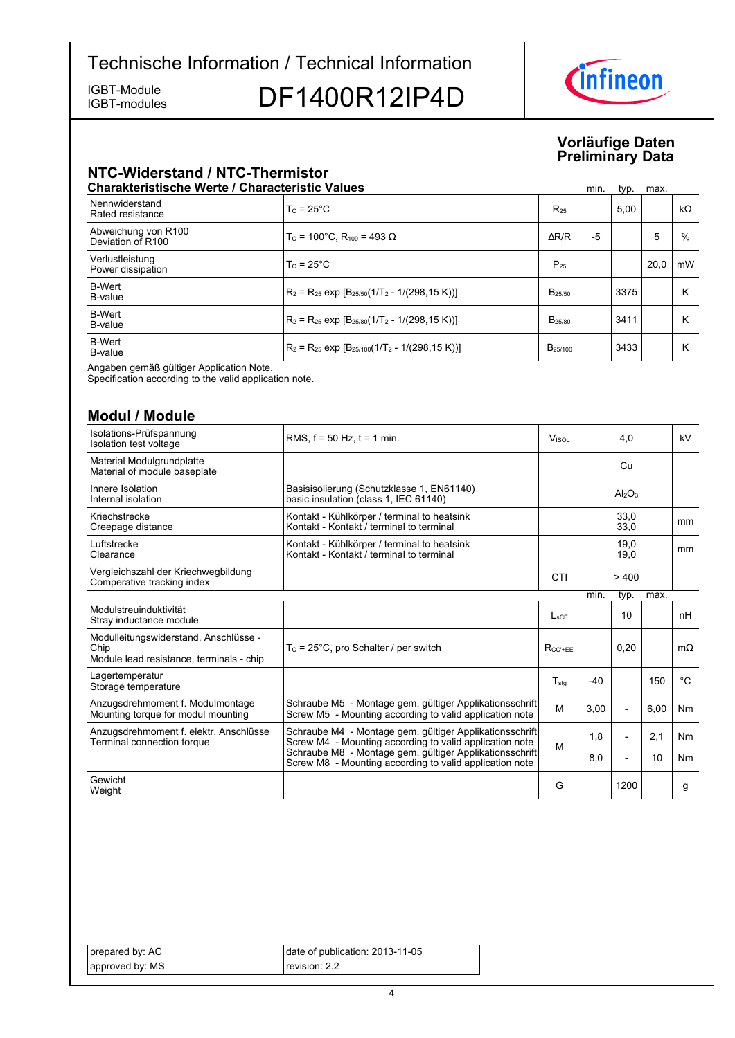IGBT-modules

# IGBT-Module<br>IGBT-modules DF1400R12IP4D



### **Vorläufige-Daten Preliminary-Data**

# **NTC-Widerstand-/-NTC-Thermistor**

| <b>Charakteristische Werte / Characteristic Values</b> |                                                                   |                     | min. | typ. | max. |           |
|--------------------------------------------------------|-------------------------------------------------------------------|---------------------|------|------|------|-----------|
| Nennwiderstand<br>Rated resistance                     | $T_c = 25^{\circ}$ C                                              | $R_{25}$            |      | 5.00 |      | $k\Omega$ |
| Abweichung von R100<br>Deviation of R100               | $T_c$ = 100°C. R <sub>100</sub> = 493 Ω                           | $\Delta$ R/R        | -5   |      | 5    | %         |
| Verlustleistung<br>Power dissipation                   | $T_c = 25^{\circ}$ C                                              | $P_{25}$            |      |      | 20.0 | mW        |
| <b>B-Wert</b><br>B-value                               | $R_2 = R_{25}$ exp $[B_{25/50}(1/T_2 - 1/(298, 15 K))]$           | $B_{25/50}$         |      | 3375 |      | κ         |
| <b>B-Wert</b><br>B-value                               | $R_2 = R_{25}$ exp $[B_{25/80}(1/T_2 - 1/(298, 15 K))]$           | B <sub>25/80</sub>  |      | 3411 |      | κ         |
| <b>B-Wert</b><br>B-value                               | $R_2$ = R <sub>25</sub> exp $[B_{25/100}(1/T_2 - 1/(298, 15 K))]$ | B <sub>25/100</sub> |      | 3433 |      | κ         |

Angaben gemäß gültiger Application Note.

Specification according to the valid application note.

## **Modul-/-Module**

| ,,,,,,,,,,,,,,,,                                                                          |                                                                                                                    |                  |       |                                |      |               |
|-------------------------------------------------------------------------------------------|--------------------------------------------------------------------------------------------------------------------|------------------|-------|--------------------------------|------|---------------|
| Isolations-Prüfspannung<br>Isolation test voltage                                         | RMS, $f = 50$ Hz, $t = 1$ min.                                                                                     | Visol            |       | 4,0                            |      | kV            |
| Material Modulgrundplatte<br>Material of module baseplate                                 |                                                                                                                    |                  |       | Cu                             |      |               |
| Innere Isolation<br>Internal isolation                                                    | Basisisolierung (Schutzklasse 1, EN61140)<br>basic insulation (class 1, IEC 61140)                                 |                  |       | Al <sub>2</sub> O <sub>3</sub> |      |               |
| Kriechstrecke<br>Creepage distance                                                        | Kontakt - Kühlkörper / terminal to heatsink<br>Kontakt - Kontakt / terminal to terminal                            |                  |       | 33,0<br>33.0                   |      | mm            |
| Luftstrecke<br>Clearance                                                                  | Kontakt - Kühlkörper / terminal to heatsink<br>Kontakt - Kontakt / terminal to terminal                            |                  |       | 19,0<br>19,0                   |      | <sub>mm</sub> |
| Vergleichszahl der Kriechwegbildung<br>Comperative tracking index                         |                                                                                                                    | CTI              |       | >400                           |      |               |
|                                                                                           |                                                                                                                    |                  | min.  | typ.                           | max. |               |
| Modulstreuinduktivität<br>Stray inductance module                                         |                                                                                                                    | L <sub>SCE</sub> |       | 10                             |      | nH            |
| Modulleitungswiderstand, Anschlüsse -<br>Chip<br>Module lead resistance, terminals - chip | $T_c$ = 25°C, pro Schalter / per switch                                                                            | $R_{CC' + FF'}$  |       | 0,20                           |      | $m\Omega$     |
| Lagertemperatur<br>Storage temperature                                                    |                                                                                                                    | $T_{\text{std}}$ | $-40$ |                                | 150  | $^{\circ}C$   |
| Anzugsdrehmoment f. Modulmontage<br>Mounting torque for modul mounting                    | Schraube M5 - Montage gem. gültiger Applikationsschrift<br>Screw M5 - Mounting according to valid application note | M                | 3.00  | $\overline{\phantom{a}}$       | 6,00 | Nm            |
| Anzugsdrehmoment f. elektr. Anschlüsse<br>Terminal connection torque                      | Schraube M4 - Montage gem. gültiger Applikationsschrift<br>Screw M4 - Mounting according to valid application note | M                | 1.8   |                                | 2.1  | Nm            |
|                                                                                           | Schraube M8 - Montage gem. gültiger Applikationsschrift<br>Screw M8 - Mounting according to valid application note |                  | 8,0   |                                | 10   | Nm            |
| Gewicht<br>Weight                                                                         |                                                                                                                    | G                |       | 1200                           |      | g             |

| prepared by: AC | date of publication: 2013-11-05 |
|-----------------|---------------------------------|
| approved by: MS | revision: 2.2                   |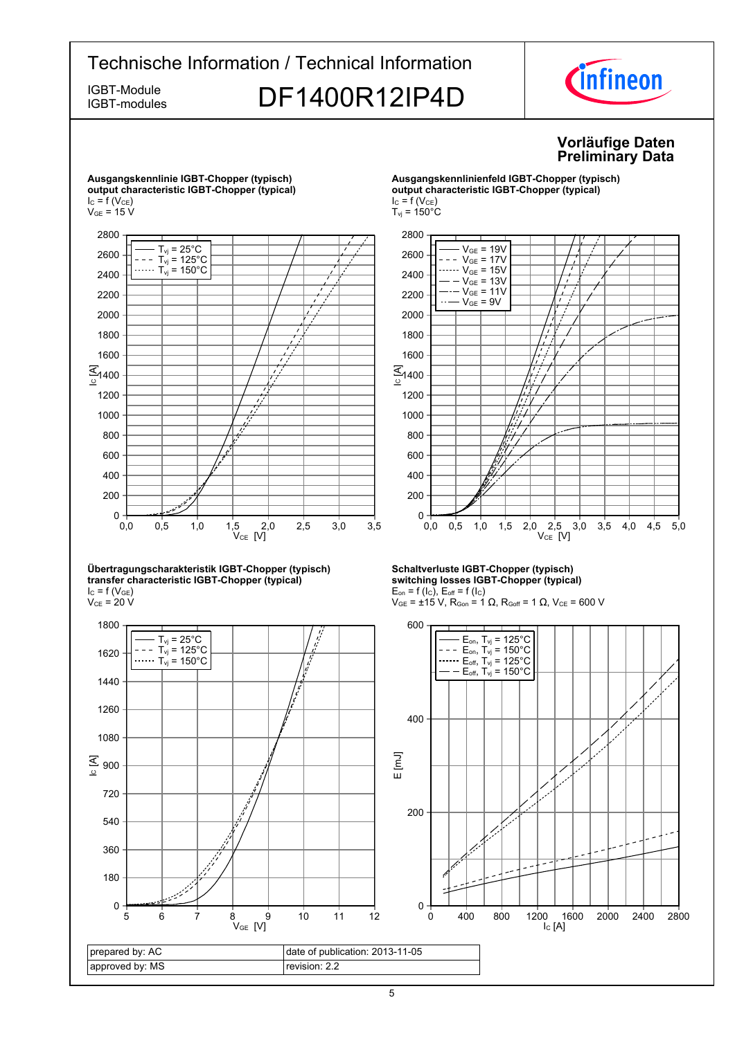

prepared by: AC approved by: MS date of publication: 2013-11-05 revision: 2.2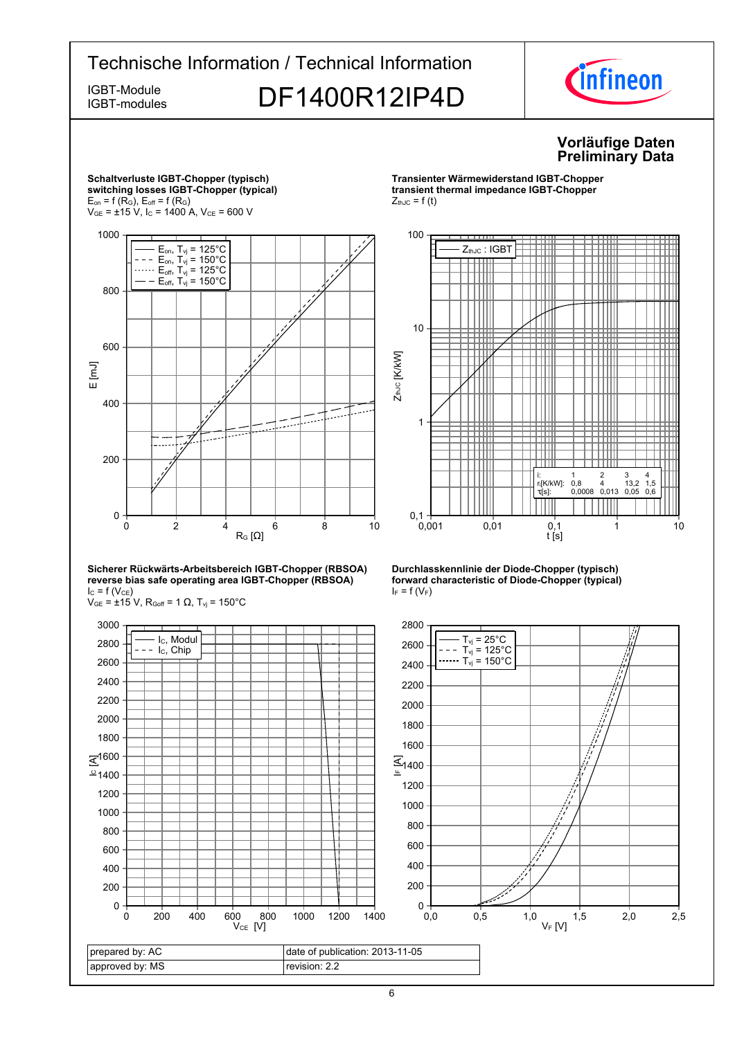



6

revision: 2.2

approved by: MS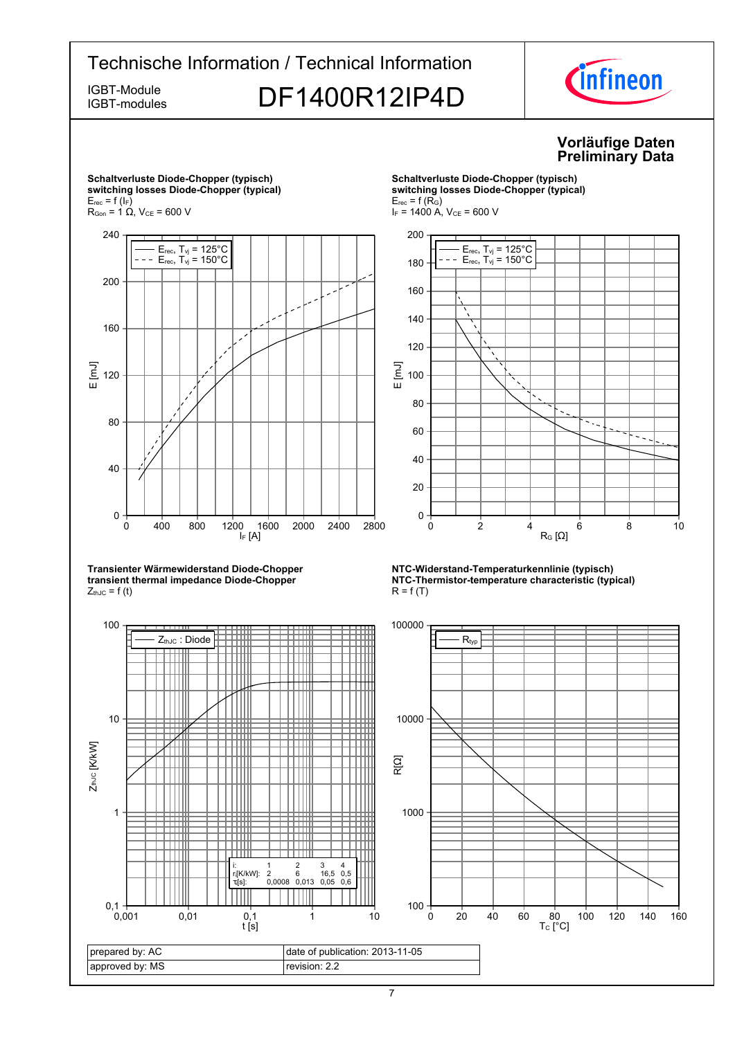

<sup>7</sup>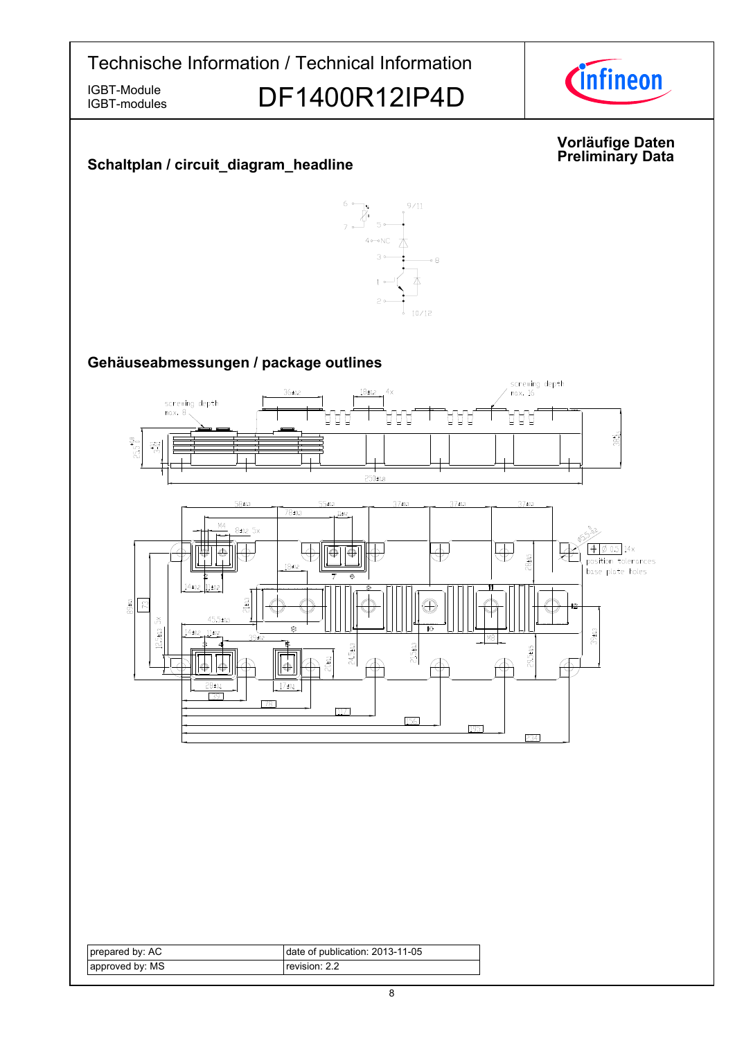

IGBT-modules

IGBT-Module<br>IGBT-modules DF1400R12IP4D